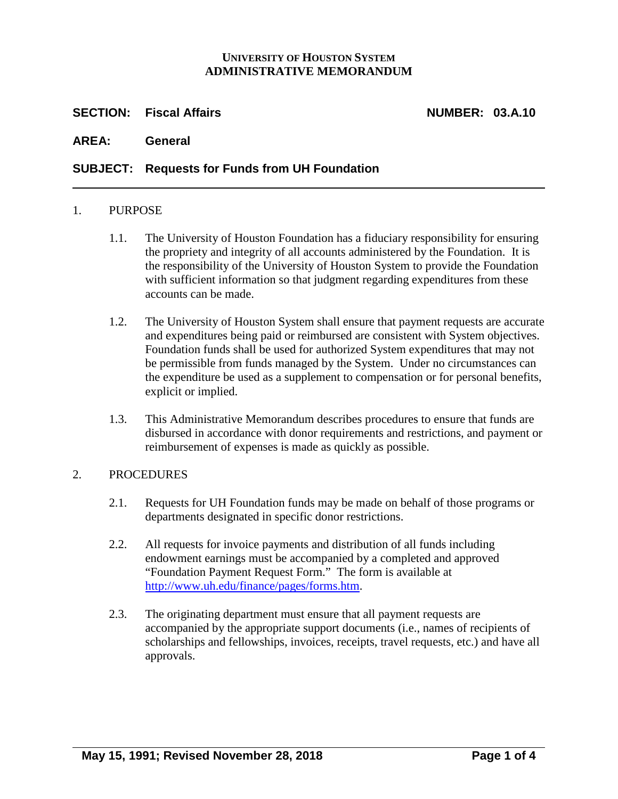## **UNIVERSITY OF HOUSTON SYSTEM ADMINISTRATIVE MEMORANDUM**

## **SECTION: Fiscal Affairs NUMBER: 03.A.10**

**AREA: General**

## **SUBJECT: Requests for Funds from UH Foundation**

#### 1. PURPOSE

- 1.1. The University of Houston Foundation has a fiduciary responsibility for ensuring the propriety and integrity of all accounts administered by the Foundation. It is the responsibility of the University of Houston System to provide the Foundation with sufficient information so that judgment regarding expenditures from these accounts can be made.
- 1.2. The University of Houston System shall ensure that payment requests are accurate and expenditures being paid or reimbursed are consistent with System objectives. Foundation funds shall be used for authorized System expenditures that may not be permissible from funds managed by the System. Under no circumstances can the expenditure be used as a supplement to compensation or for personal benefits, explicit or implied.
- 1.3. This Administrative Memorandum describes procedures to ensure that funds are disbursed in accordance with donor requirements and restrictions, and payment or reimbursement of expenses is made as quickly as possible.

### 2. PROCEDURES

- 2.1. Requests for UH Foundation funds may be made on behalf of those programs or departments designated in specific donor restrictions.
- 2.2. All requests for invoice payments and distribution of all funds including endowment earnings must be accompanied by a completed and approved "Foundation Payment Request Form." The form is available at [http://www.uh.edu/finance/pages/forms.htm.](http://www.uh.edu/finance/pages/forms.htm)
- 2.3. The originating department must ensure that all payment requests are accompanied by the appropriate support documents (i.e., names of recipients of scholarships and fellowships, invoices, receipts, travel requests, etc.) and have all approvals.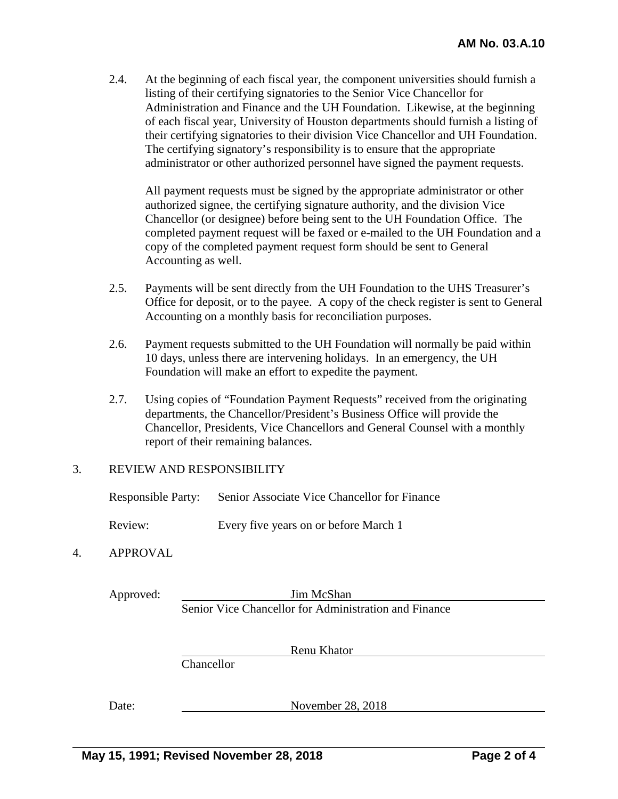2.4. At the beginning of each fiscal year, the component universities should furnish a listing of their certifying signatories to the Senior Vice Chancellor for Administration and Finance and the UH Foundation. Likewise, at the beginning of each fiscal year, University of Houston departments should furnish a listing of their certifying signatories to their division Vice Chancellor and UH Foundation. The certifying signatory's responsibility is to ensure that the appropriate administrator or other authorized personnel have signed the payment requests.

All payment requests must be signed by the appropriate administrator or other authorized signee, the certifying signature authority, and the division Vice Chancellor (or designee) before being sent to the UH Foundation Office. The completed payment request will be faxed or e-mailed to the UH Foundation and a copy of the completed payment request form should be sent to General Accounting as well.

- 2.5. Payments will be sent directly from the UH Foundation to the UHS Treasurer's Office for deposit, or to the payee. A copy of the check register is sent to General Accounting on a monthly basis for reconciliation purposes.
- 2.6. Payment requests submitted to the UH Foundation will normally be paid within 10 days, unless there are intervening holidays. In an emergency, the UH Foundation will make an effort to expedite the payment.
- 2.7. Using copies of "Foundation Payment Requests" received from the originating departments, the Chancellor/President's Business Office will provide the Chancellor, Presidents, Vice Chancellors and General Counsel with a monthly report of their remaining balances.

### 3. REVIEW AND RESPONSIBILITY

Responsible Party: Senior Associate Vice Chancellor for Finance

Review: Every five years on or before March 1

## 4. APPROVAL

Approved: Jim McShan Senior Vice Chancellor for Administration and Finance

Renu Khator

Chancellor

Date: November 28, 2018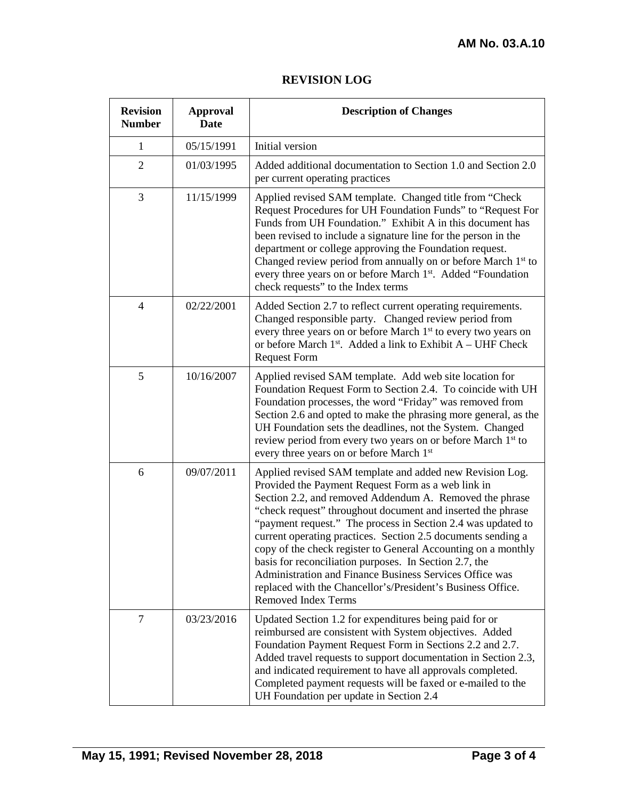# **REVISION LOG**

| <b>Revision</b><br><b>Number</b> | <b>Approval</b><br><b>Date</b> | <b>Description of Changes</b>                                                                                                                                                                                                                                                                                                                                                                                                                                                                                                                                                                                                                               |
|----------------------------------|--------------------------------|-------------------------------------------------------------------------------------------------------------------------------------------------------------------------------------------------------------------------------------------------------------------------------------------------------------------------------------------------------------------------------------------------------------------------------------------------------------------------------------------------------------------------------------------------------------------------------------------------------------------------------------------------------------|
| 1                                | 05/15/1991                     | Initial version                                                                                                                                                                                                                                                                                                                                                                                                                                                                                                                                                                                                                                             |
| $\overline{2}$                   | 01/03/1995                     | Added additional documentation to Section 1.0 and Section 2.0<br>per current operating practices                                                                                                                                                                                                                                                                                                                                                                                                                                                                                                                                                            |
| 3                                | 11/15/1999                     | Applied revised SAM template. Changed title from "Check<br>Request Procedures for UH Foundation Funds" to "Request For<br>Funds from UH Foundation." Exhibit A in this document has<br>been revised to include a signature line for the person in the<br>department or college approving the Foundation request.<br>Changed review period from annually on or before March 1 <sup>st</sup> to<br>every three years on or before March 1st. Added "Foundation<br>check requests" to the Index terms                                                                                                                                                          |
| $\overline{4}$                   | 02/22/2001                     | Added Section 2.7 to reflect current operating requirements.<br>Changed responsible party. Changed review period from<br>every three years on or before March 1 <sup>st</sup> to every two years on<br>or before March $1st$ . Added a link to Exhibit A – UHF Check<br><b>Request Form</b>                                                                                                                                                                                                                                                                                                                                                                 |
| 5                                | 10/16/2007                     | Applied revised SAM template. Add web site location for<br>Foundation Request Form to Section 2.4. To coincide with UH<br>Foundation processes, the word "Friday" was removed from<br>Section 2.6 and opted to make the phrasing more general, as the<br>UH Foundation sets the deadlines, not the System. Changed<br>review period from every two years on or before March 1 <sup>st</sup> to<br>every three years on or before March 1st                                                                                                                                                                                                                  |
| 6                                | 09/07/2011                     | Applied revised SAM template and added new Revision Log.<br>Provided the Payment Request Form as a web link in<br>Section 2.2, and removed Addendum A. Removed the phrase<br>"check request" throughout document and inserted the phrase<br>"payment request." The process in Section 2.4 was updated to<br>current operating practices. Section 2.5 documents sending a<br>copy of the check register to General Accounting on a monthly<br>basis for reconciliation purposes. In Section 2.7, the<br>Administration and Finance Business Services Office was<br>replaced with the Chancellor's/President's Business Office.<br><b>Removed Index Terms</b> |
| $\tau$                           | 03/23/2016                     | Updated Section 1.2 for expenditures being paid for or<br>reimbursed are consistent with System objectives. Added<br>Foundation Payment Request Form in Sections 2.2 and 2.7.<br>Added travel requests to support documentation in Section 2.3,<br>and indicated requirement to have all approvals completed.<br>Completed payment requests will be faxed or e-mailed to the<br>UH Foundation per update in Section 2.4                                                                                                                                                                                                                                     |